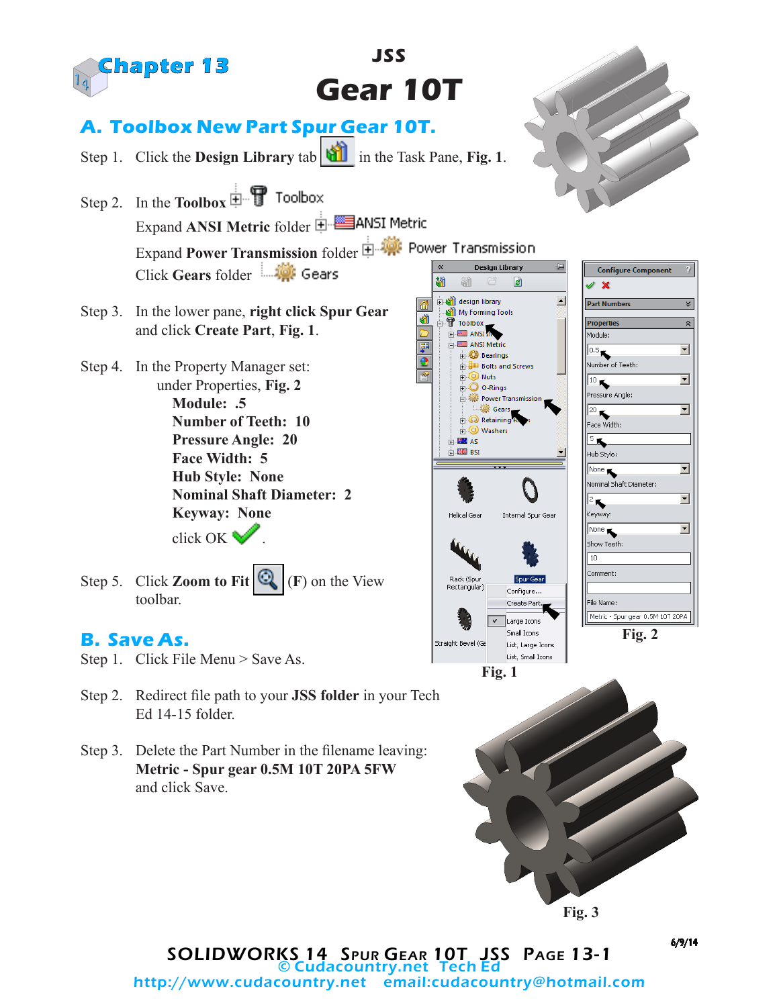

SOLIDWORKS 14 Spur Gear 10T JSS Page 13-1 **Cudacountry.net Tech E** http://www.cudacountry.net email:cudacountry@hotmail.com 6/9/14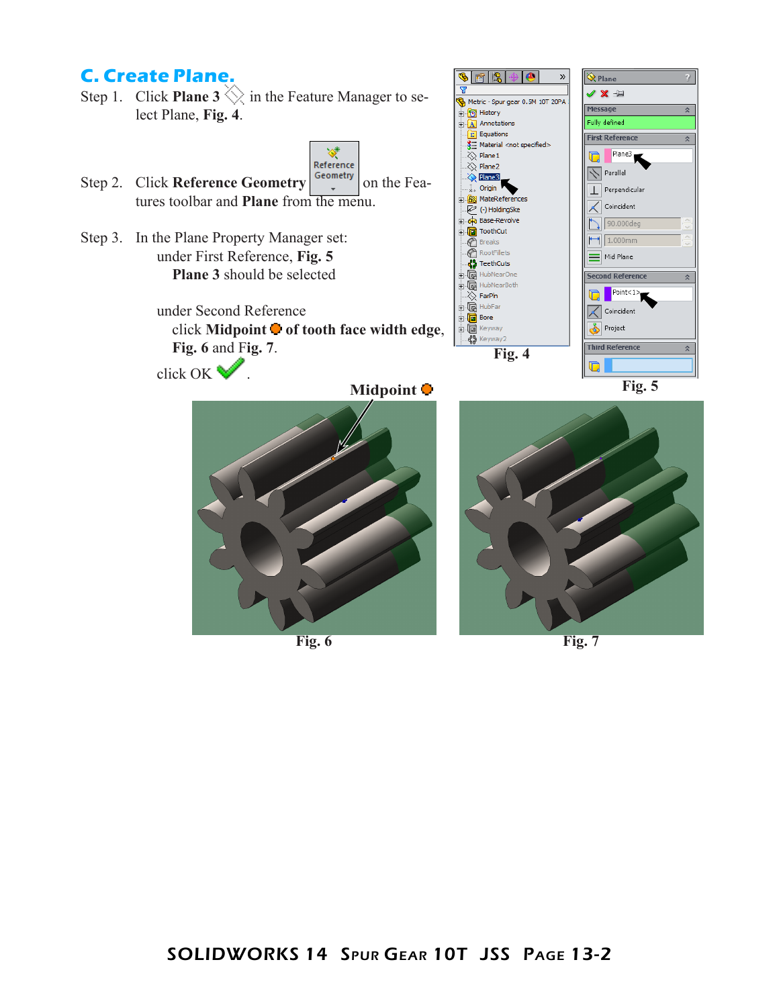## **C. Create Plane.**

Step 1. Click **Plane 3**  $\Diamond$  in the Feature Manager to select Plane, **Fig. 4**.



☎ ||凫

**D** History

 $\overline{\mathbf{v}}$ 

 $\bullet$ 

Metric - Spur gear 0.5M 10T 20PA

»

 $\hat{\mathbf{Q}}$  Plane

Message

V X ÷

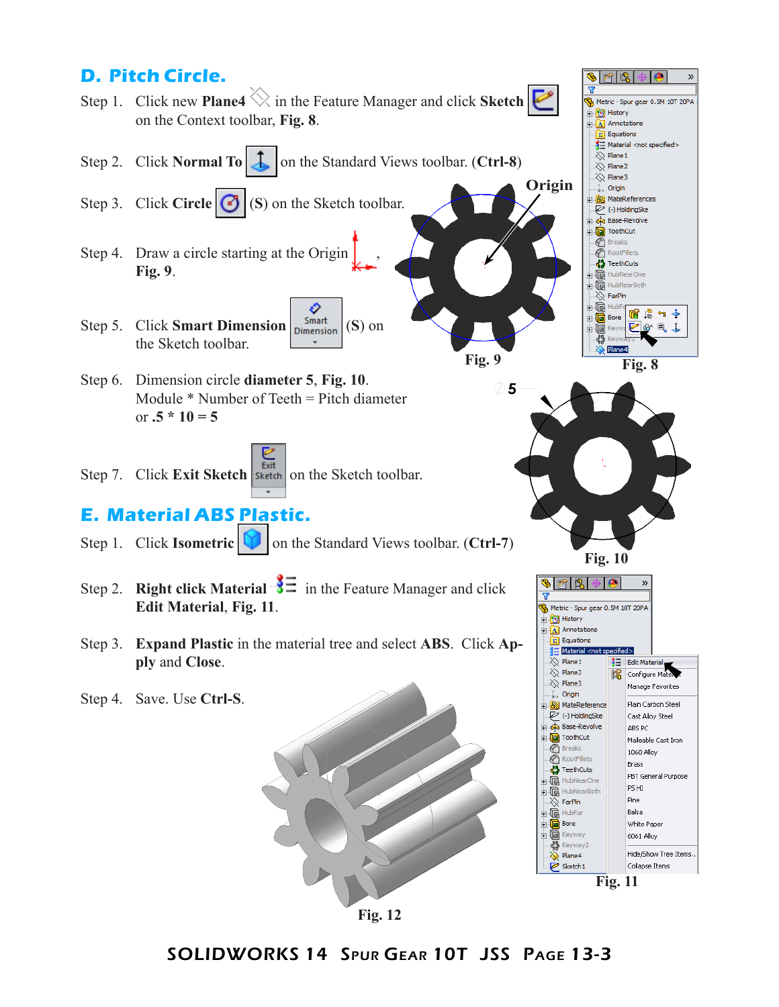## **D. Pitch Circle.**

Step 1. Click new **Plane4** in the Feature Manager and click **Sketch**  on the Context toolbar, **Fig. 8**.



- Step 3. Click **Circle 6** (**S**) (**S**) on the Sketch toolbar.
- Step 4. Draw a circle starting at the Origin **Fig. 9**.
- € Step 5. Click **Smart Dimension**  $\Big| \text{Symant}_{\text{Dimension}} (S)$  on the Sketch toolbar.
- Step 6. Dimension circle **diameter 5**, **Fig. 10**. Module \* Number of Teeth = Pitch diameter or  $.5 * 10 = 5$
- **Fxit** Step 7. Click **Exit Sketch** sketch on the Sketch toolbar.

## **E. Material ABS Plastic.**

- Step 1. Click **Isometric T** on the Standard Views toolbar. (**Ctrl-7**)
- Step 2. **Right click Material**  $\frac{3}{5}$  in the Feature Manager and click **Edit Material**, **Fig. 11**.
- Step 3. **Expand Plastic** in the material tree and select **ABS**. Click **Apply** and **Close**.
- Step 4. Save. Use **Ctrl-S**.





 $\gg$ 

**Origin**

Y

**b** History  $A$  Annotations  $\sqrt{\sum_{i=1}^{n} E_{i}}$  Equations  $\sqrt{3}$  Material <not specified>

 $\overline{\diamond}$  Plane 1  $\gg$  Plane2  $\gg$  Plane3  $\sum_{k=1}^{N}$  Origin **B** MateReferences (-) HoldingSke Base-Revolve

Metric - Spur gear 0.5M 10T 20PA

**Fig. 9**

5

**Fig. 10**



SOLIDWORKS 14 Spur Gear 10T JSS Page 13-3